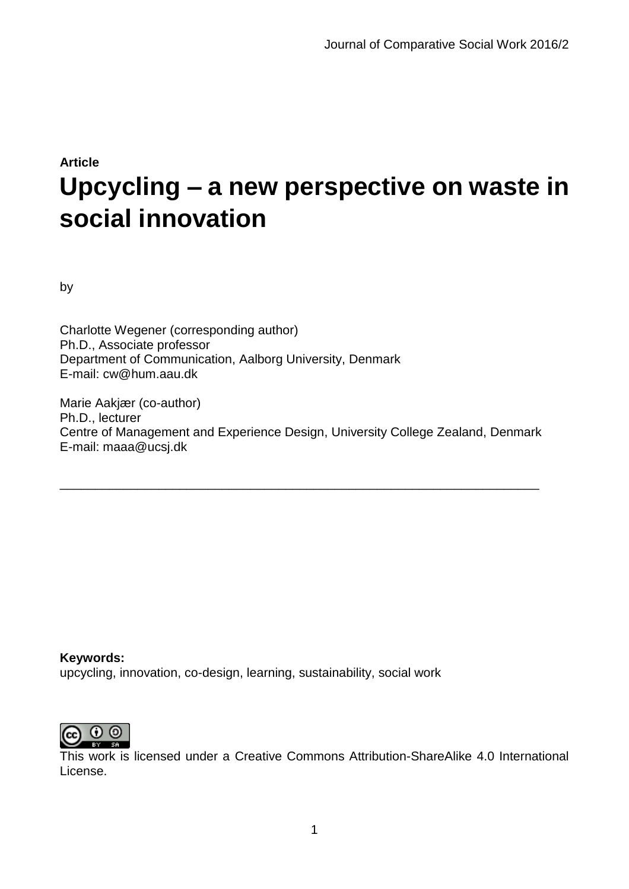# **Article Upcycling – a new perspective on waste in social innovation**

by

Charlotte Wegener (corresponding author) Ph.D., Associate professor Department of Communication, Aalborg University, Denmark E-mail: cw@hum.aau.dk

Marie Aakjær (co-author) Ph.D., lecturer Centre of Management and Experience Design, University College Zealand, Denmark E-mail: maaa@ucsj.dk

\_\_\_\_\_\_\_\_\_\_\_\_\_\_\_\_\_\_\_\_\_\_\_\_\_\_\_\_\_\_\_\_\_\_\_\_\_\_\_\_\_\_\_\_\_\_\_\_\_\_\_\_\_\_\_\_\_\_\_\_\_\_\_\_\_\_\_\_

**Keywords:** upcycling, innovation, co-design, learning, sustainability, social work



This work is licensed under a Creative Commons Attribution-ShareAlike 4.0 International License.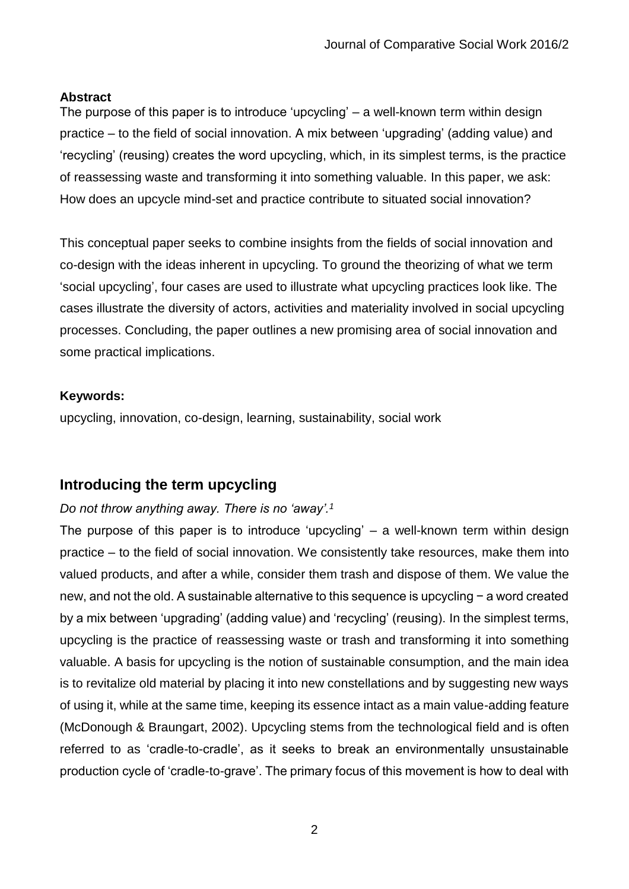#### **Abstract**

The purpose of this paper is to introduce 'upcycling' – a well-known term within design practice – to the field of social innovation. A mix between 'upgrading' (adding value) and 'recycling' (reusing) creates the word upcycling, which, in its simplest terms, is the practice of reassessing waste and transforming it into something valuable. In this paper, we ask: How does an upcycle mind-set and practice contribute to situated social innovation?

This conceptual paper seeks to combine insights from the fields of social innovation and co-design with the ideas inherent in upcycling. To ground the theorizing of what we term 'social upcycling', four cases are used to illustrate what upcycling practices look like. The cases illustrate the diversity of actors, activities and materiality involved in social upcycling processes. Concluding, the paper outlines a new promising area of social innovation and some practical implications.

#### **Keywords:**

upcycling, innovation, co-design, learning, sustainability, social work

# **Introducing the term upcycling**

## *Do not throw anything away. There is no 'away'.<sup>1</sup>*

The purpose of this paper is to introduce 'upcycling' – a well-known term within design practice – to the field of social innovation. We consistently take resources, make them into valued products, and after a while, consider them trash and dispose of them. We value the new, and not the old. A sustainable alternative to this sequence is upcycling − a word created by a mix between 'upgrading' (adding value) and 'recycling' (reusing). In the simplest terms, upcycling is the practice of reassessing waste or trash and transforming it into something valuable. A basis for upcycling is the notion of sustainable consumption, and the main idea is to revitalize old material by placing it into new constellations and by suggesting new ways of using it, while at the same time, keeping its essence intact as a main value-adding feature (McDonough & Braungart, 2002). Upcycling stems from the technological field and is often referred to as 'cradle-to-cradle', as it seeks to break an environmentally unsustainable production cycle of 'cradle-to-grave'. The primary focus of this movement is how to deal with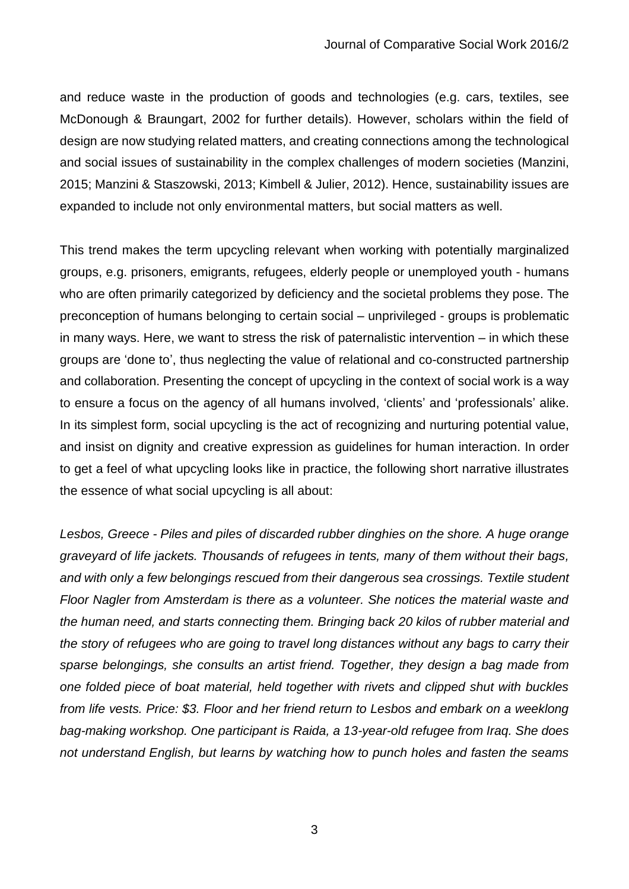and reduce waste in the production of goods and technologies (e.g. cars, textiles, see McDonough & Braungart, 2002 for further details). However, scholars within the field of design are now studying related matters, and creating connections among the technological and social issues of sustainability in the complex challenges of modern societies (Manzini, 2015; Manzini & Staszowski, 2013; Kimbell & Julier, 2012). Hence, sustainability issues are expanded to include not only environmental matters, but social matters as well.

This trend makes the term upcycling relevant when working with potentially marginalized groups, e.g. prisoners, emigrants, refugees, elderly people or unemployed youth - humans who are often primarily categorized by deficiency and the societal problems they pose. The preconception of humans belonging to certain social – unprivileged - groups is problematic in many ways. Here, we want to stress the risk of paternalistic intervention – in which these groups are 'done to', thus neglecting the value of relational and co-constructed partnership and collaboration. Presenting the concept of upcycling in the context of social work is a way to ensure a focus on the agency of all humans involved, 'clients' and 'professionals' alike. In its simplest form, social upcycling is the act of recognizing and nurturing potential value, and insist on dignity and creative expression as guidelines for human interaction. In order to get a feel of what upcycling looks like in practice, the following short narrative illustrates the essence of what social upcycling is all about:

*Lesbos, Greece - Piles and piles of discarded rubber dinghies on the shore. A huge orange graveyard of life jackets. Thousands of refugees in tents, many of them without their bags, and with only a few belongings rescued from their dangerous sea crossings. Textile student Floor Nagler from Amsterdam is there as a volunteer. She notices the material waste and the human need, and starts connecting them. Bringing back 20 kilos of rubber material and the story of refugees who are going to travel long distances without any bags to carry their sparse belongings, she consults an artist friend. Together, they design a bag made from one folded piece of boat material, held together with rivets and clipped shut with buckles from life vests. Price: \$3. Floor and her friend return to Lesbos and embark on a weeklong bag-making workshop. One participant is Raida, a 13-year-old refugee from Iraq. She does not understand English, but learns by watching how to punch holes and fasten the seams*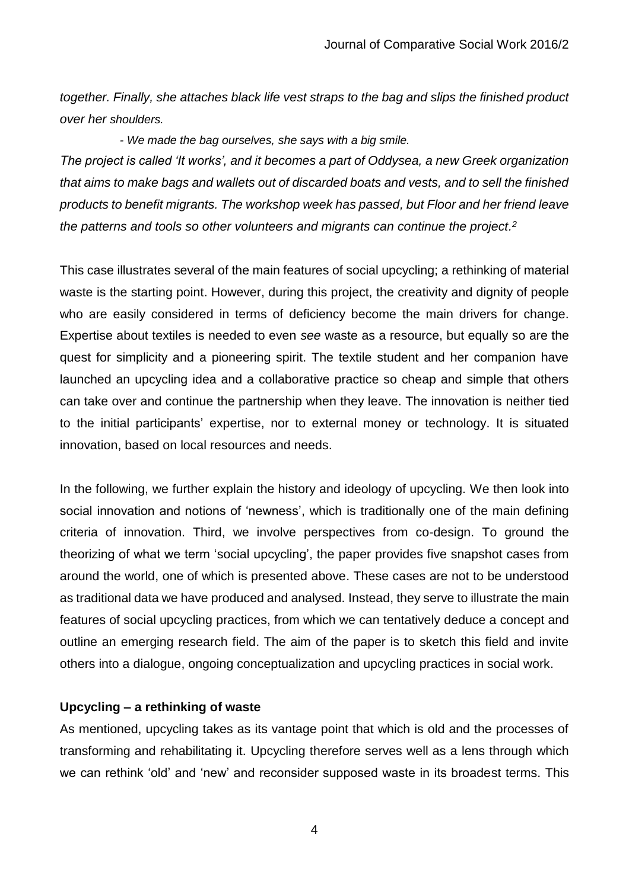*together. Finally, she attaches black life vest straps to the bag and slips the finished product over her shoulders.* 

*- We made the bag ourselves, she says with a big smile. The project is called 'It works', and it becomes a part of Oddysea, a new Greek organization that aims to make bags and wallets out of discarded boats and vests, and to sell the finished products to benefit migrants. The workshop week has passed, but Floor and her friend leave the patterns and tools so other volunteers and migrants can continue the project. 2*

This case illustrates several of the main features of social upcycling; a rethinking of material waste is the starting point. However, during this project, the creativity and dignity of people who are easily considered in terms of deficiency become the main drivers for change. Expertise about textiles is needed to even *see* waste as a resource, but equally so are the quest for simplicity and a pioneering spirit. The textile student and her companion have launched an upcycling idea and a collaborative practice so cheap and simple that others can take over and continue the partnership when they leave. The innovation is neither tied to the initial participants' expertise, nor to external money or technology. It is situated innovation, based on local resources and needs.

In the following, we further explain the history and ideology of upcycling. We then look into social innovation and notions of 'newness', which is traditionally one of the main defining criteria of innovation. Third, we involve perspectives from co-design. To ground the theorizing of what we term 'social upcycling', the paper provides five snapshot cases from around the world, one of which is presented above. These cases are not to be understood as traditional data we have produced and analysed. Instead, they serve to illustrate the main features of social upcycling practices, from which we can tentatively deduce a concept and outline an emerging research field. The aim of the paper is to sketch this field and invite others into a dialogue, ongoing conceptualization and upcycling practices in social work.

## **Upcycling – a rethinking of waste**

As mentioned, upcycling takes as its vantage point that which is old and the processes of transforming and rehabilitating it. Upcycling therefore serves well as a lens through which we can rethink 'old' and 'new' and reconsider supposed waste in its broadest terms. This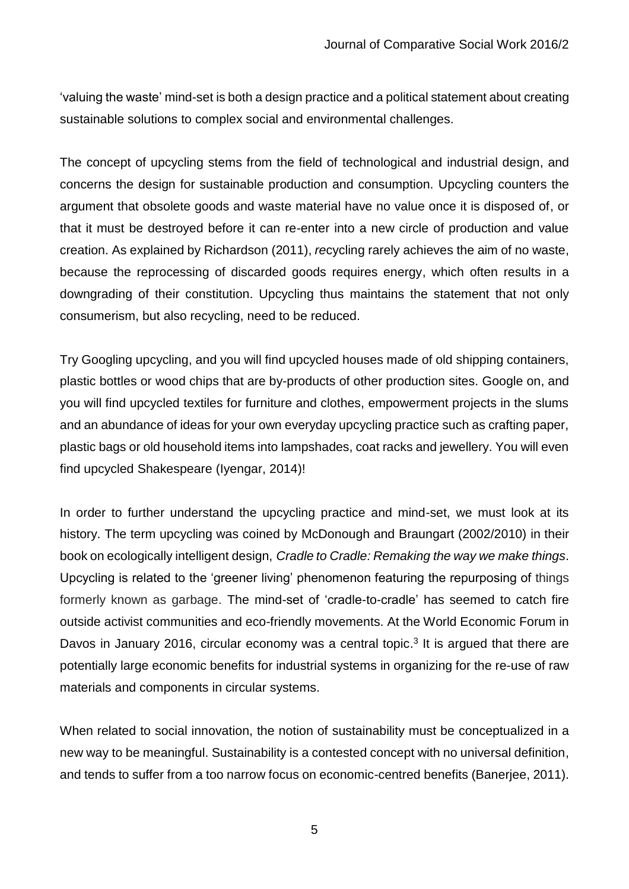'valuing the waste' mind-set is both a design practice and a political statement about creating sustainable solutions to complex social and environmental challenges.

The concept of upcycling stems from the field of technological and industrial design, and concerns the design for sustainable production and consumption. Upcycling counters the argument that obsolete goods and waste material have no value once it is disposed of, or that it must be destroyed before it can re-enter into a new circle of production and value creation. As explained by Richardson (2011), *re*cycling rarely achieves the aim of no waste, because the reprocessing of discarded goods requires energy, which often results in a downgrading of their constitution. Upcycling thus maintains the statement that not only consumerism, but also recycling, need to be reduced.

Try Googling upcycling, and you will find upcycled houses made of old shipping containers, plastic bottles or wood chips that are by-products of other production sites. Google on, and you will find upcycled textiles for furniture and clothes, empowerment projects in the slums and an abundance of ideas for your own everyday upcycling practice such as crafting paper, plastic bags or old household items into lampshades, coat racks and jewellery. You will even find upcycled Shakespeare (Iyengar, 2014)!

In order to further understand the upcycling practice and mind-set, we must look at its history. The term upcycling was coined by McDonough and Braungart (2002/2010) in their book on ecologically intelligent design, *[Cradle to Cradle:](http://www.powells.com/biblio?PID=25450&cgi=product&isbn=0865475873) Remaking the way we make things*. Upcycling is related to the 'greener living' phenomenon featuring the repurposing of things formerly known as garbage. The mind-set of 'cradle-to-cradle' has seemed to catch fire outside activist communities and eco-friendly movements. At the World Economic Forum in Davos in January 2016, circular economy was a central topic.<sup>3</sup> It is argued that there are potentially large economic benefits for industrial systems in organizing for the re-use of raw materials and components in circular systems.

When related to social innovation, the notion of sustainability must be conceptualized in a new way to be meaningful. Sustainability is a contested concept with no universal definition, and tends to suffer from a too narrow focus on economic-centred benefits (Banerjee, 2011).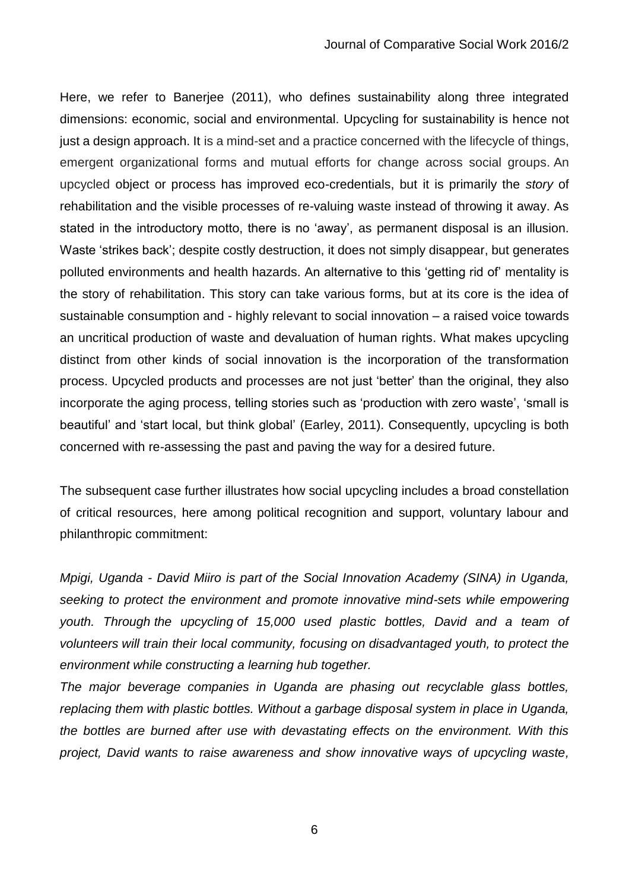Here, we refer to Banerjee (2011), who defines sustainability along three integrated dimensions: economic, social and environmental. Upcycling for sustainability is hence not just a design approach. It is a mind-set and a practice concerned with the lifecycle of things, emergent organizational forms and mutual efforts for change across social groups. An upcycled object or process has improved eco-credentials, but it is primarily the *story* of rehabilitation and the visible processes of re-valuing waste instead of throwing it away. As stated in the introductory motto, there is no 'away', as permanent disposal is an illusion. Waste 'strikes back'; despite costly destruction, it does not simply disappear, but generates polluted environments and health hazards. An alternative to this 'getting rid of' mentality is the story of rehabilitation. This story can take various forms, but at its core is the idea of sustainable consumption and - highly relevant to social innovation – a raised voice towards an uncritical production of waste and devaluation of human rights. What makes upcycling distinct from other kinds of social innovation is the incorporation of the transformation process. Upcycled products and processes are not just 'better' than the original, they also incorporate the aging process, telling stories such as 'production with zero waste', 'small is beautiful' and 'start local, but think global' (Earley, 2011). Consequently, upcycling is both concerned with re-assessing the past and paving the way for a desired future.

The subsequent case further illustrates how social upcycling includes a broad constellation of critical resources, here among political recognition and support, voluntary labour and philanthropic commitment:

*Mpigi, Uganda - David Miiro is part of the Social Innovation Academy (SINA) in Uganda, seeking to protect the environment and promote innovative mind-sets while empowering youth. Through the [upcycling](http://www.facebook.com/socialinnovationacademy) of 15,000 used plastic bottles, David and a team of volunteers will train their local community, focusing on disadvantaged youth, to protect the environment while constructing a learning hub together.*

*The major beverage companies in Uganda are phasing out recyclable glass bottles, replacing them with plastic bottles. Without a garbage disposal system in place in Uganda, the bottles are burned after use with devastating effects on the environment. With this project, David wants to raise awareness and show innovative ways of upcycling waste,*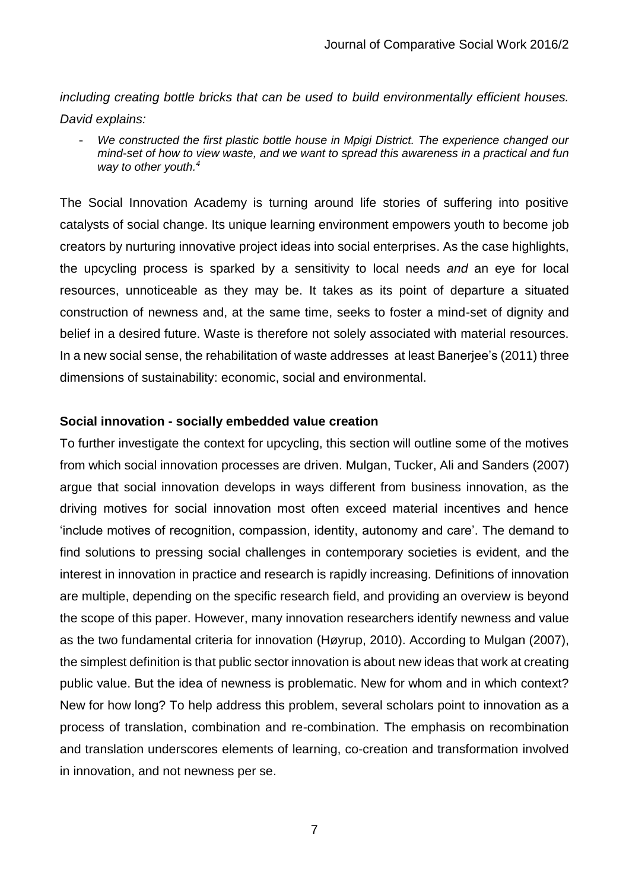*including creating bottle bricks that can be used to build environmentally efficient houses. David explains:*

- *We constructed the first plastic bottle house in Mpigi District. The experience changed our mind-set of how to view waste, and we want to spread this awareness in a practical and fun way to other youth. 4*

The Social Innovation Academy is turning around life stories of suffering into positive catalysts of social change. Its unique learning environment empowers youth to become job creators by nurturing innovative project ideas into social enterprises. As the case highlights, the upcycling process is sparked by a sensitivity to local needs *and* an eye for local resources, unnoticeable as they may be. It takes as its point of departure a situated construction of newness and, at the same time, seeks to foster a mind-set of dignity and belief in a desired future. Waste is therefore not solely associated with material resources. In a new social sense, the rehabilitation of waste addresses at least Banerjee's (2011) three dimensions of sustainability: economic, social and environmental.

#### **Social innovation - socially embedded value creation**

To further investigate the context for upcycling, this section will outline some of the motives from which social innovation processes are driven. Mulgan, Tucker, Ali and Sanders (2007) argue that social innovation develops in ways different from business innovation, as the driving motives for social innovation most often exceed material incentives and hence 'include motives of recognition, compassion, identity, autonomy and care'. The demand to find solutions to pressing social challenges in contemporary societies is evident, and the interest in innovation in practice and research is rapidly increasing. Definitions of innovation are multiple, depending on the specific research field, and providing an overview is beyond the scope of this paper. However, many innovation researchers identify newness and value as the two fundamental criteria for innovation (Høyrup, 2010). According to Mulgan (2007), the simplest definition is that public sector innovation is about new ideas that work at creating public value. But the idea of newness is problematic. New for whom and in which context? New for how long? To help address this problem, several scholars point to innovation as a process of translation, combination and re-combination. The emphasis on recombination and translation underscores elements of learning, co-creation and transformation involved in innovation, and not newness per se.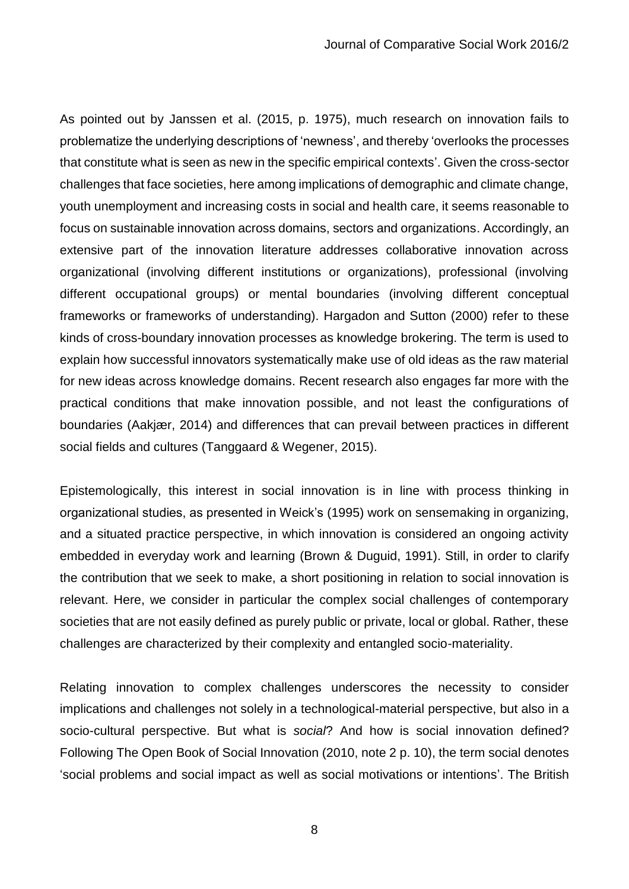As pointed out by Janssen et al. (2015, p. 1975), much research on innovation fails to problematize the underlying descriptions of 'newness', and thereby 'overlooks the processes that constitute what is seen as new in the specific empirical contexts'. Given the cross-sector challenges that face societies, here among implications of demographic and climate change, youth unemployment and increasing costs in social and health care, it seems reasonable to focus on sustainable innovation across domains, sectors and organizations. Accordingly, an extensive part of the innovation literature addresses collaborative innovation across organizational (involving different institutions or organizations), professional (involving different occupational groups) or mental boundaries (involving different conceptual frameworks or frameworks of understanding). Hargadon and Sutton (2000) refer to these kinds of cross-boundary innovation processes as knowledge brokering. The term is used to explain how successful innovators systematically make use of old ideas as the raw material for new ideas across knowledge domains. Recent research also engages far more with the practical conditions that make innovation possible, and not least the configurations of boundaries (Aakjær, 2014) and differences that can prevail between practices in different social fields and cultures (Tanggaard & Wegener, 2015).

Epistemologically, this interest in social innovation is in line with process thinking in organizational studies, as presented in Weick's (1995) work on sensemaking in organizing, and a situated practice perspective, in which innovation is considered an ongoing activity embedded in everyday work and learning (Brown & Duguid, 1991). Still, in order to clarify the contribution that we seek to make, a short positioning in relation to social innovation is relevant. Here, we consider in particular the complex social challenges of contemporary societies that are not easily defined as purely public or private, local or global. Rather, these challenges are characterized by their complexity and entangled socio-materiality.

Relating innovation to complex challenges underscores the necessity to consider implications and challenges not solely in a technological-material perspective, but also in a socio-cultural perspective. But what is *social*? And how is social innovation defined? Following The Open Book of Social Innovation (2010, note 2 p. 10), the term social denotes 'social problems and social impact as well as social motivations or intentions'. The British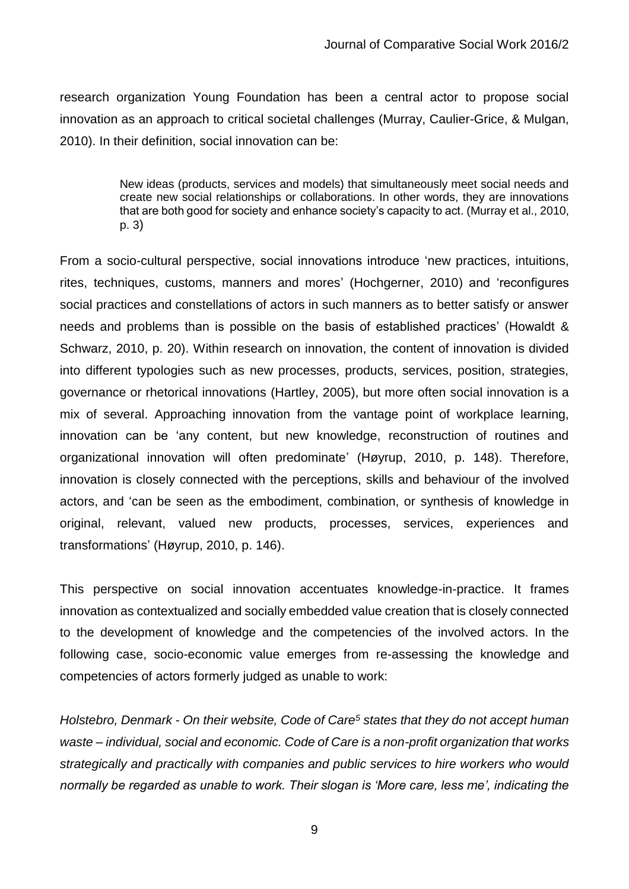research organization Young Foundation has been a central actor to propose social innovation as an approach to critical societal challenges (Murray, Caulier-Grice, & Mulgan, 2010). In their definition, social innovation can be:

> New ideas (products, services and models) that simultaneously meet social needs and create new social relationships or collaborations. In other words, they are innovations that are both good for society and enhance society's capacity to act. (Murray et al., 2010, p. 3)

From a socio-cultural perspective, social innovations introduce 'new practices, intuitions, rites, techniques, customs, manners and mores' (Hochgerner, 2010) and 'reconfigures social practices and constellations of actors in such manners as to better satisfy or answer needs and problems than is possible on the basis of established practices' (Howaldt & Schwarz, 2010, p. 20). Within research on innovation, the content of innovation is divided into different typologies such as new processes, products, services, position, strategies, governance or rhetorical innovations (Hartley, 2005), but more often social innovation is a mix of several. Approaching innovation from the vantage point of workplace learning, innovation can be 'any content, but new knowledge, reconstruction of routines and organizational innovation will often predominate' (Høyrup, 2010, p. 148). Therefore, innovation is closely connected with the perceptions, skills and behaviour of the involved actors, and 'can be seen as the embodiment, combination, or synthesis of knowledge in original, relevant, valued new products, processes, services, experiences and transformations' (Høyrup, 2010, p. 146).

This perspective on social innovation accentuates knowledge-in-practice. It frames innovation as contextualized and socially embedded value creation that is closely connected to the development of knowledge and the competencies of the involved actors. In the following case, socio-economic value emerges from re-assessing the knowledge and competencies of actors formerly judged as unable to work:

*Holstebro, Denmark - On their website, Code of Care<sup>5</sup> states that they do not accept human waste – individual, social and economic. Code of Care is a non-profit organization that works strategically and practically with companies and public services to hire workers who would normally be regarded as unable to work. Their slogan is 'More care, less me', indicating the*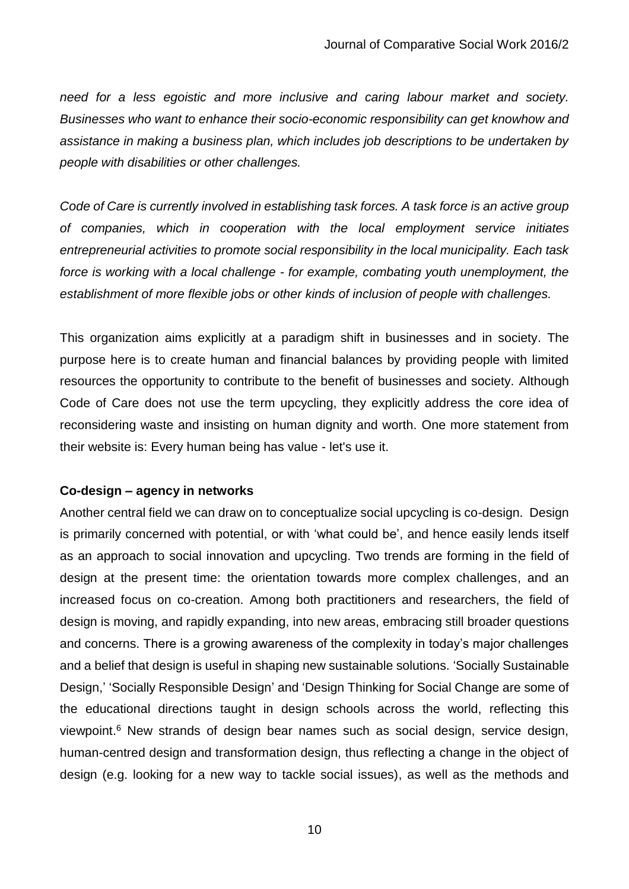*need for a less egoistic and more inclusive and caring labour market and society. Businesses who want to enhance their socio-economic responsibility can get knowhow and assistance in making a business plan, which includes job descriptions to be undertaken by people with disabilities or other challenges.*

*Code of Care is currently involved in establishing task forces. A task force is an active group of companies, which in cooperation with the local employment service initiates entrepreneurial activities to promote social responsibility in the local municipality. Each task force is working with a local challenge - for example, combating youth unemployment, the establishment of more flexible jobs or other kinds of inclusion of people with challenges.*

This organization aims explicitly at a paradigm shift in businesses and in society. The purpose here is to create human and financial balances by providing people with limited resources the opportunity to contribute to the benefit of businesses and society. Although Code of Care does not use the term upcycling, they explicitly address the core idea of reconsidering waste and insisting on human dignity and worth. One more statement from their website is: Every human being has value - let's use it.

#### **Co-design – agency in networks**

Another central field we can draw on to conceptualize social upcycling is co-design. Design is primarily concerned with potential, or with 'what could be', and hence easily lends itself as an approach to social innovation and upcycling. Two trends are forming in the field of design at the present time: the orientation towards more complex challenges, and an increased focus on co-creation. Among both practitioners and researchers, the field of design is moving, and rapidly expanding, into new areas, embracing still broader questions and concerns. There is a growing awareness of the complexity in today's major challenges and a belief that design is useful in shaping new sustainable solutions. 'Socially Sustainable Design,' 'Socially Responsible Design' and 'Design Thinking for Social Change are some of the educational directions taught in design schools across the world, reflecting this viewpoint. <sup>6</sup> New strands of design bear names such as social design, service design, human-centred design and transformation design, thus reflecting a change in the object of design (e.g. looking for a new way to tackle social issues), as well as the methods and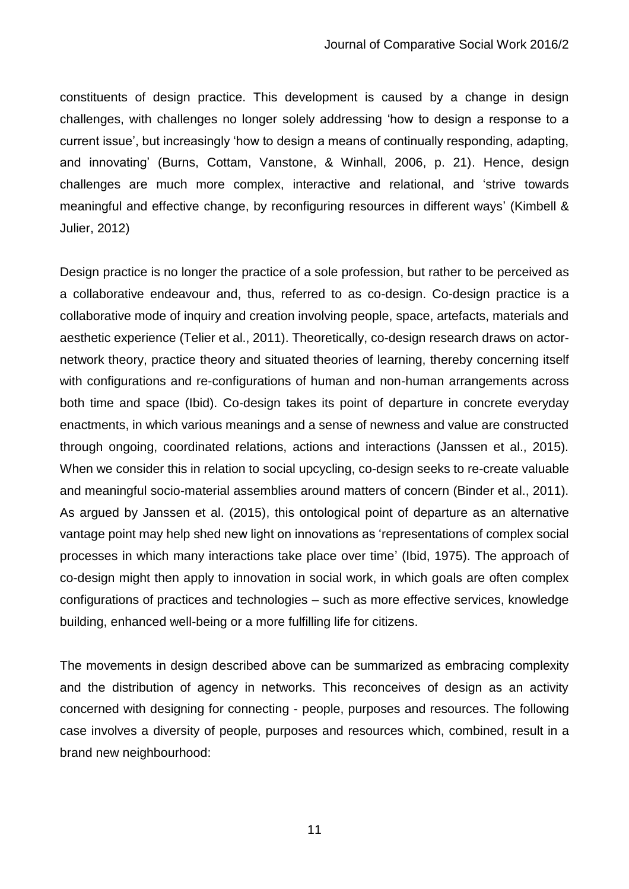constituents of design practice. This development is caused by a change in design challenges, with challenges no longer solely addressing 'how to design a response to a current issue', but increasingly 'how to design a means of continually responding, adapting, and innovating' (Burns, Cottam, Vanstone, & Winhall, 2006, p. 21). Hence, design challenges are much more complex, interactive and relational, and 'strive towards meaningful and effective change, by reconfiguring resources in different ways' (Kimbell & Julier, 2012)

Design practice is no longer the practice of a sole profession, but rather to be perceived as a collaborative endeavour and, thus, referred to as co-design. Co-design practice is a collaborative mode of inquiry and creation involving people, space, artefacts, materials and aesthetic experience (Telier et al., 2011). Theoretically, co-design research draws on actornetwork theory, practice theory and situated theories of learning, thereby concerning itself with configurations and re-configurations of human and non-human arrangements across both time and space (Ibid). Co-design takes its point of departure in concrete everyday enactments, in which various meanings and a sense of newness and value are constructed through ongoing, coordinated relations, actions and interactions (Janssen et al., 2015). When we consider this in relation to social upcycling, co-design seeks to re-create valuable and meaningful socio-material assemblies around matters of concern (Binder et al., 2011). As argued by Janssen et al. (2015), this ontological point of departure as an alternative vantage point may help shed new light on innovations as 'representations of complex social processes in which many interactions take place over time' (Ibid, 1975). The approach of co-design might then apply to innovation in social work, in which goals are often complex configurations of practices and technologies – such as more effective services, knowledge building, enhanced well-being or a more fulfilling life for citizens.

The movements in design described above can be summarized as embracing complexity and the distribution of agency in networks. This reconceives of design as an activity concerned with designing for connecting - people, purposes and resources. The following case involves a diversity of people, purposes and resources which, combined, result in a brand new neighbourhood: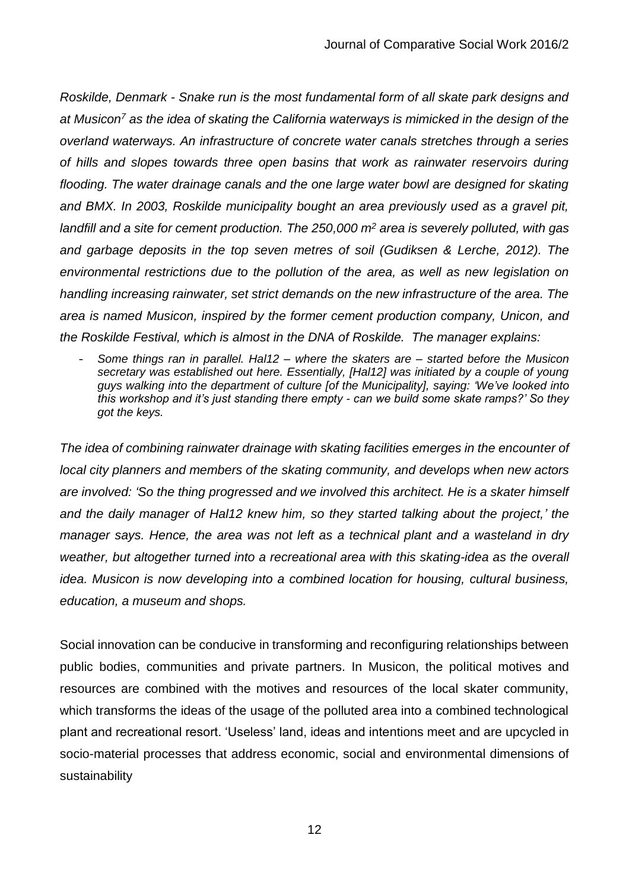*Roskilde, Denmark - Snake run is the most fundamental form of all skate park designs and at Musicon<sup>7</sup> as the idea of skating the California waterways is mimicked in the design of the overland waterways. An infrastructure of concrete water canals stretches through a series of hills and slopes towards three open basins that work as rainwater reservoirs during flooding. The water drainage canals and the one large water bowl are designed for skating and BMX. In 2003, Roskilde municipality bought an area previously used as a gravel pit, landfill and a site for cement production. The 250,000 m<sup>2</sup> area is severely polluted, with gas and garbage deposits in the top seven metres of soil (Gudiksen & Lerche, 2012). The environmental restrictions due to the pollution of the area, as well as new legislation on handling increasing rainwater, set strict demands on the new infrastructure of the area. The area is named Musicon, inspired by the former cement production company, Unicon, and the Roskilde Festival, which is almost in the DNA of Roskilde. The manager explains:*

- *Some things ran in parallel. Hal12 – where the skaters are – started before the Musicon secretary was established out here. Essentially, [Hal12] was initiated by a couple of young guys walking into the department of culture [of the Municipality], saying: 'We've looked into this workshop and it's just standing there empty - can we build some skate ramps?' So they got the keys.*

*The idea of combining rainwater drainage with skating facilities emerges in the encounter of local city planners and members of the skating community, and develops when new actors are involved: 'So the thing progressed and we involved this architect. He is a skater himself and the daily manager of Hal12 knew him, so they started talking about the project,' the manager says. Hence, the area was not left as a technical plant and a wasteland in dry*  weather, but altogether turned into a recreational area with this skating-idea as the overall *idea. Musicon is now developing into a combined location for housing, cultural business, education, a museum and shops.* 

Social innovation can be conducive in transforming and reconfiguring relationships between public bodies, communities and private partners. In Musicon, the political motives and resources are combined with the motives and resources of the local skater community, which transforms the ideas of the usage of the polluted area into a combined technological plant and recreational resort. 'Useless' land, ideas and intentions meet and are upcycled in socio-material processes that address economic, social and environmental dimensions of sustainability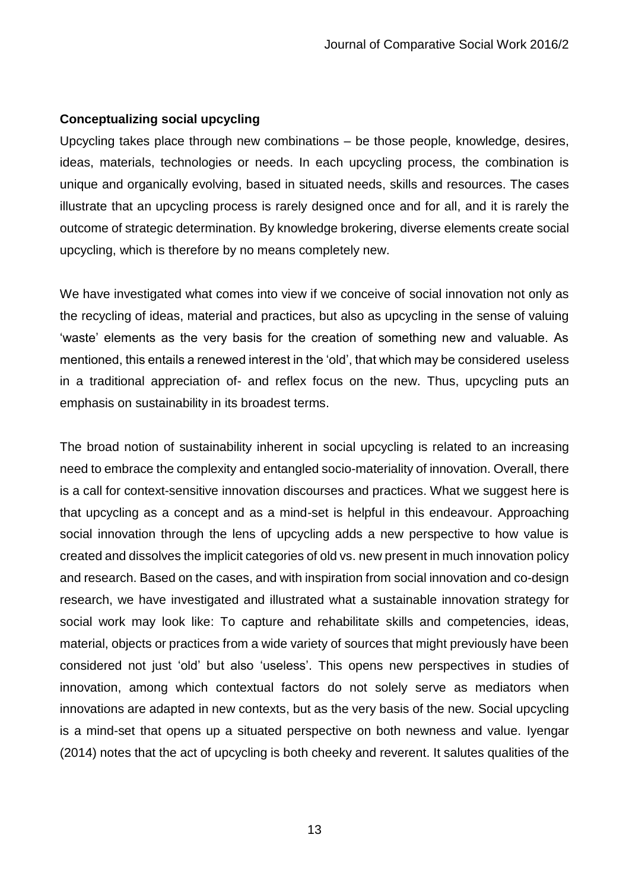#### **Conceptualizing social upcycling**

Upcycling takes place through new combinations – be those people, knowledge, desires, ideas, materials, technologies or needs. In each upcycling process, the combination is unique and organically evolving, based in situated needs, skills and resources. The cases illustrate that an upcycling process is rarely designed once and for all, and it is rarely the outcome of strategic determination. By knowledge brokering, diverse elements create social upcycling, which is therefore by no means completely new.

We have investigated what comes into view if we conceive of social innovation not only as the recycling of ideas, material and practices, but also as upcycling in the sense of valuing 'waste' elements as the very basis for the creation of something new and valuable. As mentioned, this entails a renewed interest in the 'old', that which may be considered useless in a traditional appreciation of- and reflex focus on the new. Thus, upcycling puts an emphasis on sustainability in its broadest terms.

The broad notion of sustainability inherent in social upcycling is related to an increasing need to embrace the complexity and entangled socio-materiality of innovation. Overall, there is a call for context-sensitive innovation discourses and practices. What we suggest here is that upcycling as a concept and as a mind-set is helpful in this endeavour. Approaching social innovation through the lens of upcycling adds a new perspective to how value is created and dissolves the implicit categories of old vs. new present in much innovation policy and research. Based on the cases, and with inspiration from social innovation and co-design research, we have investigated and illustrated what a sustainable innovation strategy for social work may look like: To capture and rehabilitate skills and competencies, ideas, material, objects or practices from a wide variety of sources that might previously have been considered not just 'old' but also 'useless'. This opens new perspectives in studies of innovation, among which contextual factors do not solely serve as mediators when innovations are adapted in new contexts, but as the very basis of the new. Social upcycling is a mind-set that opens up a situated perspective on both newness and value. Iyengar (2014) notes that the act of upcycling is both cheeky and reverent. It salutes qualities of the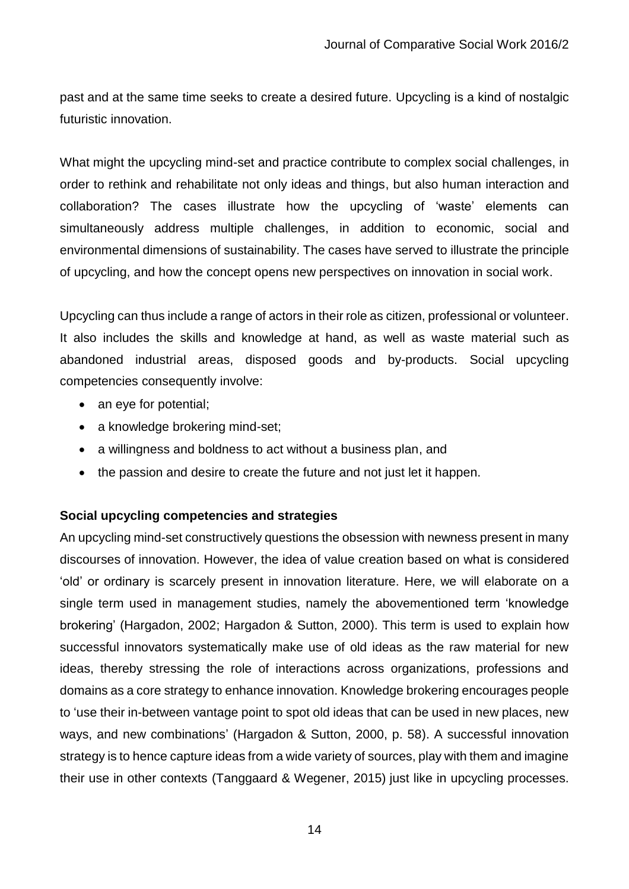past and at the same time seeks to create a desired future. Upcycling is a kind of nostalgic futuristic innovation.

What might the upcycling mind-set and practice contribute to complex social challenges, in order to rethink and rehabilitate not only ideas and things, but also human interaction and collaboration? The cases illustrate how the upcycling of 'waste' elements can simultaneously address multiple challenges, in addition to economic, social and environmental dimensions of sustainability. The cases have served to illustrate the principle of upcycling, and how the concept opens new perspectives on innovation in social work.

Upcycling can thus include a range of actors in their role as citizen, professional or volunteer. It also includes the skills and knowledge at hand, as well as waste material such as abandoned industrial areas, disposed goods and by-products. Social upcycling competencies consequently involve:

- an eye for potential;
- a knowledge brokering mind-set;
- a willingness and boldness to act without a business plan, and
- the passion and desire to create the future and not just let it happen.

## **Social upcycling competencies and strategies**

An upcycling mind-set constructively questions the obsession with newness present in many discourses of innovation. However, the idea of value creation based on what is considered 'old' or ordinary is scarcely present in innovation literature. Here, we will elaborate on a single term used in management studies, namely the abovementioned term 'knowledge brokering' (Hargadon, 2002; Hargadon & Sutton, 2000). This term is used to explain how successful innovators systematically make use of old ideas as the raw material for new ideas, thereby stressing the role of interactions across organizations, professions and domains as a core strategy to enhance innovation. Knowledge brokering encourages people to 'use their in-between vantage point to spot old ideas that can be used in new places, new ways, and new combinations' (Hargadon & Sutton, 2000, p. 58). A successful innovation strategy is to hence capture ideas from a wide variety of sources, play with them and imagine their use in other contexts (Tanggaard & Wegener, 2015) just like in upcycling processes.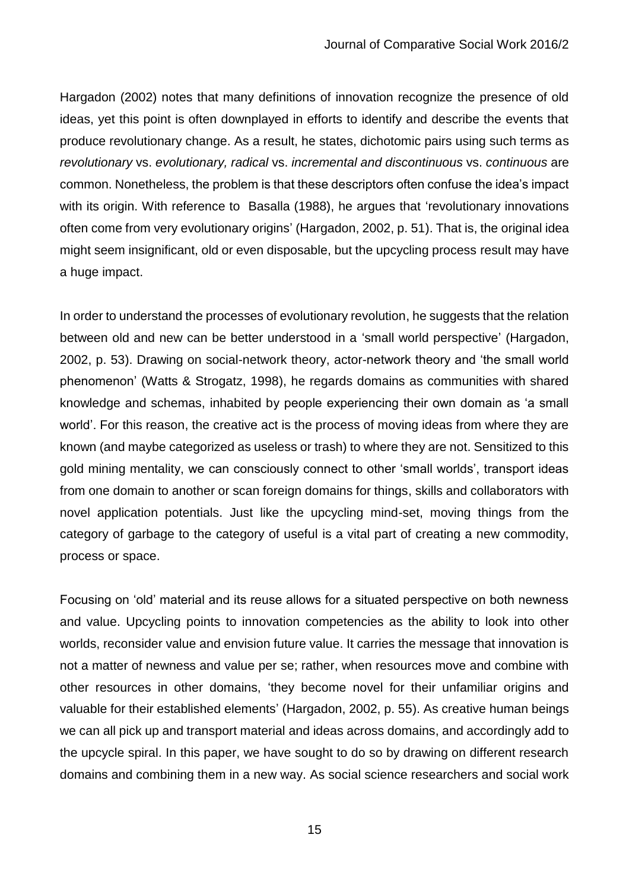Hargadon (2002) notes that many definitions of innovation recognize the presence of old ideas, yet this point is often downplayed in efforts to identify and describe the events that produce revolutionary change. As a result, he states, dichotomic pairs using such terms as *revolutionary* vs. *evolutionary, radical* vs. *incremental and discontinuous* vs. *continuous* are common. Nonetheless, the problem is that these descriptors often confuse the idea's impact with its origin. With reference to Basalla (1988), he argues that 'revolutionary innovations often come from very evolutionary origins' (Hargadon, 2002, p. 51). That is, the original idea might seem insignificant, old or even disposable, but the upcycling process result may have a huge impact.

In order to understand the processes of evolutionary revolution, he suggests that the relation between old and new can be better understood in a 'small world perspective' (Hargadon, 2002, p. 53). Drawing on social-network theory, actor-network theory and 'the small world phenomenon' (Watts & Strogatz, 1998), he regards domains as communities with shared knowledge and schemas, inhabited by people experiencing their own domain as 'a small world'. For this reason, the creative act is the process of moving ideas from where they are known (and maybe categorized as useless or trash) to where they are not. Sensitized to this gold mining mentality, we can consciously connect to other 'small worlds', transport ideas from one domain to another or scan foreign domains for things, skills and collaborators with novel application potentials. Just like the upcycling mind-set, moving things from the category of garbage to the category of useful is a vital part of creating a new commodity, process or space.

Focusing on 'old' material and its reuse allows for a situated perspective on both newness and value. Upcycling points to innovation competencies as the ability to look into other worlds, reconsider value and envision future value. It carries the message that innovation is not a matter of newness and value per se; rather, when resources move and combine with other resources in other domains, 'they become novel for their unfamiliar origins and valuable for their established elements' (Hargadon, 2002, p. 55). As creative human beings we can all pick up and transport material and ideas across domains, and accordingly add to the upcycle spiral. In this paper, we have sought to do so by drawing on different research domains and combining them in a new way. As social science researchers and social work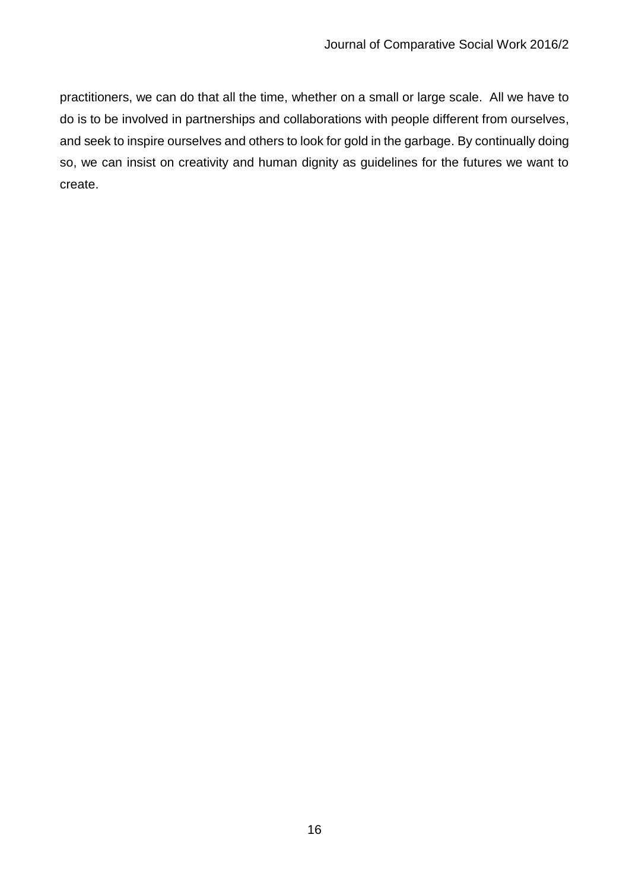practitioners, we can do that all the time, whether on a small or large scale. All we have to do is to be involved in partnerships and collaborations with people different from ourselves, and seek to inspire ourselves and others to look for gold in the garbage. By continually doing so, we can insist on creativity and human dignity as guidelines for the futures we want to create.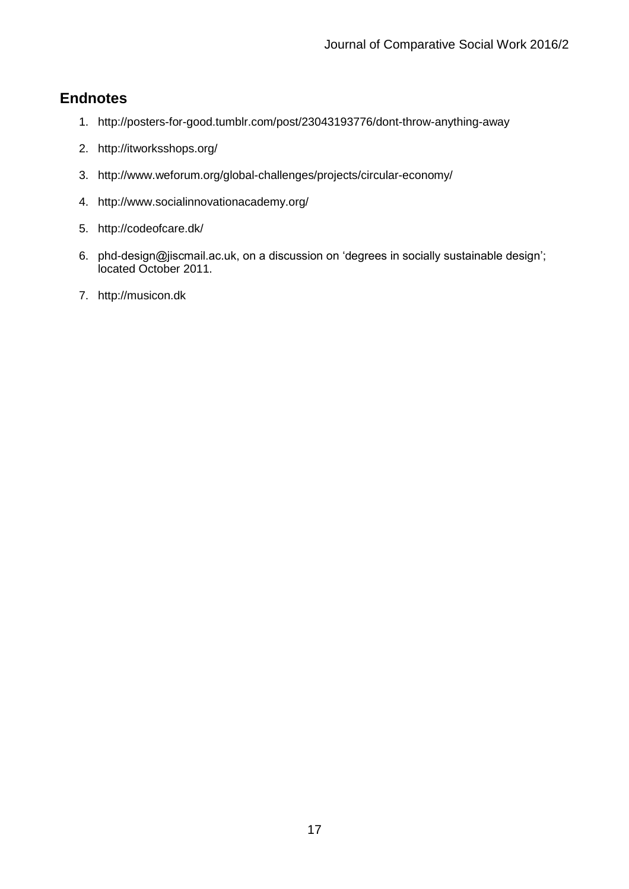# **Endnotes**

- 1. http://posters-for-good.tumblr.com/post/23043193776/dont-throw-anything-away
- 2. http://itworksshops.org/
- 3. http://www.weforum.org/global-challenges/projects/circular-economy/
- 4. http://www.socialinnovationacademy.org/
- 5. http://codeofcare.dk/
- 6. phd-design@jiscmail.ac.uk, on a discussion on 'degrees in socially sustainable design'; located October 2011.
- 7. http://musicon.dk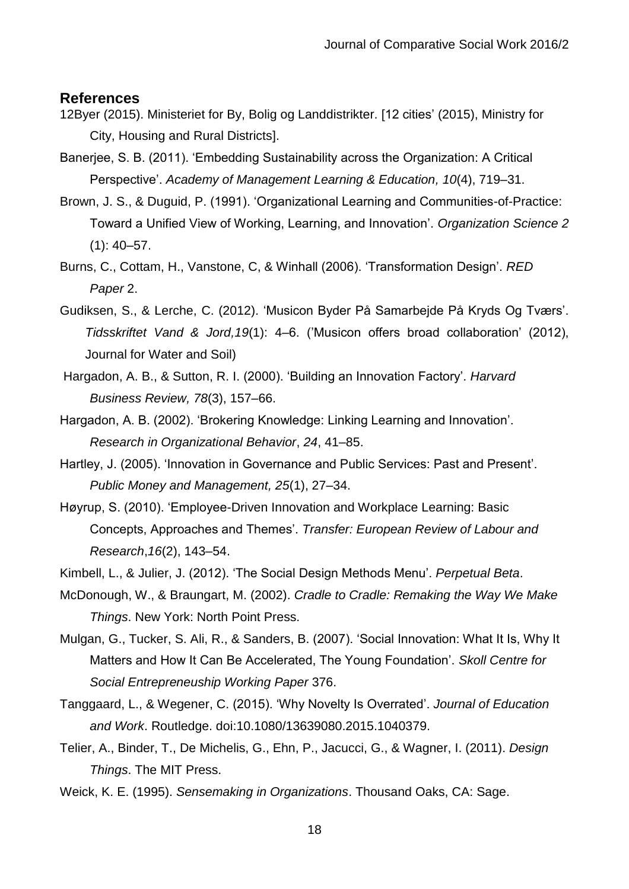#### **References**

- 12Byer (2015). Ministeriet for By, Bolig og Landdistrikter. [12 cities' (2015), Ministry for City, Housing and Rural Districts].
- Banerjee, S. B. (2011). 'Embedding Sustainability across the Organization: A Critical Perspective'. *Academy of Management Learning & Education, 10*(4), 719–31.
- Brown, J. S., & Duguid, P. (1991). 'Organizational Learning and Communities-of-Practice: Toward a Unified View of Working, Learning, and Innovation'. *Organization Science 2*  $(1): 40 - 57.$
- Burns, C., Cottam, H., Vanstone, C, & Winhall (2006). 'Transformation Design'. *RED Paper* 2.
- Gudiksen, S., & Lerche, C. (2012). 'Musicon Byder På Samarbejde På Kryds Og Tværs'. *Tidsskriftet Vand & Jord,19*(1): 4–6. ('Musicon offers broad collaboration' (2012), Journal for Water and Soil)
- Hargadon, A. B., & Sutton, R. I. (2000). 'Building an Innovation Factory'. *Harvard Business Review, 78*(3), 157–66.
- Hargadon, A. B. (2002). 'Brokering Knowledge: Linking Learning and Innovation'. *Research in Organizational Behavior*, *24*, 41–85.
- Hartley, J. (2005). 'Innovation in Governance and Public Services: Past and Present'. *Public Money and Management, 25*(1), 27–34.
- Høyrup, S. (2010). 'Employee-Driven Innovation and Workplace Learning: Basic Concepts, Approaches and Themes'. *Transfer: European Review of Labour and Research*,*16*(2), 143–54.
- Kimbell, L., & Julier, J. (2012). 'The Social Design Methods Menu'. *Perpetual Beta*.
- McDonough, W., & Braungart, M. (2002). *Cradle to Cradle: Remaking the Way We Make Things*. New York: North Point Press.
- Mulgan, G., Tucker, S. Ali, R., & Sanders, B. (2007). 'Social Innovation: What It Is, Why It Matters and How It Can Be Accelerated, The Young Foundation'. *Skoll Centre for Social Entrepreneuship Working Paper* 376.
- Tanggaard, L., & Wegener, C. (2015). 'Why Novelty Is Overrated'. *Journal of Education and Work*. Routledge. doi:10.1080/13639080.2015.1040379.
- Telier, A., Binder, T., De Michelis, G., Ehn, P., Jacucci, G., & Wagner, I. (2011). *Design Things*. The MIT Press.
- Weick, K. E. (1995). *Sensemaking in Organizations*. Thousand Oaks, CA: Sage.